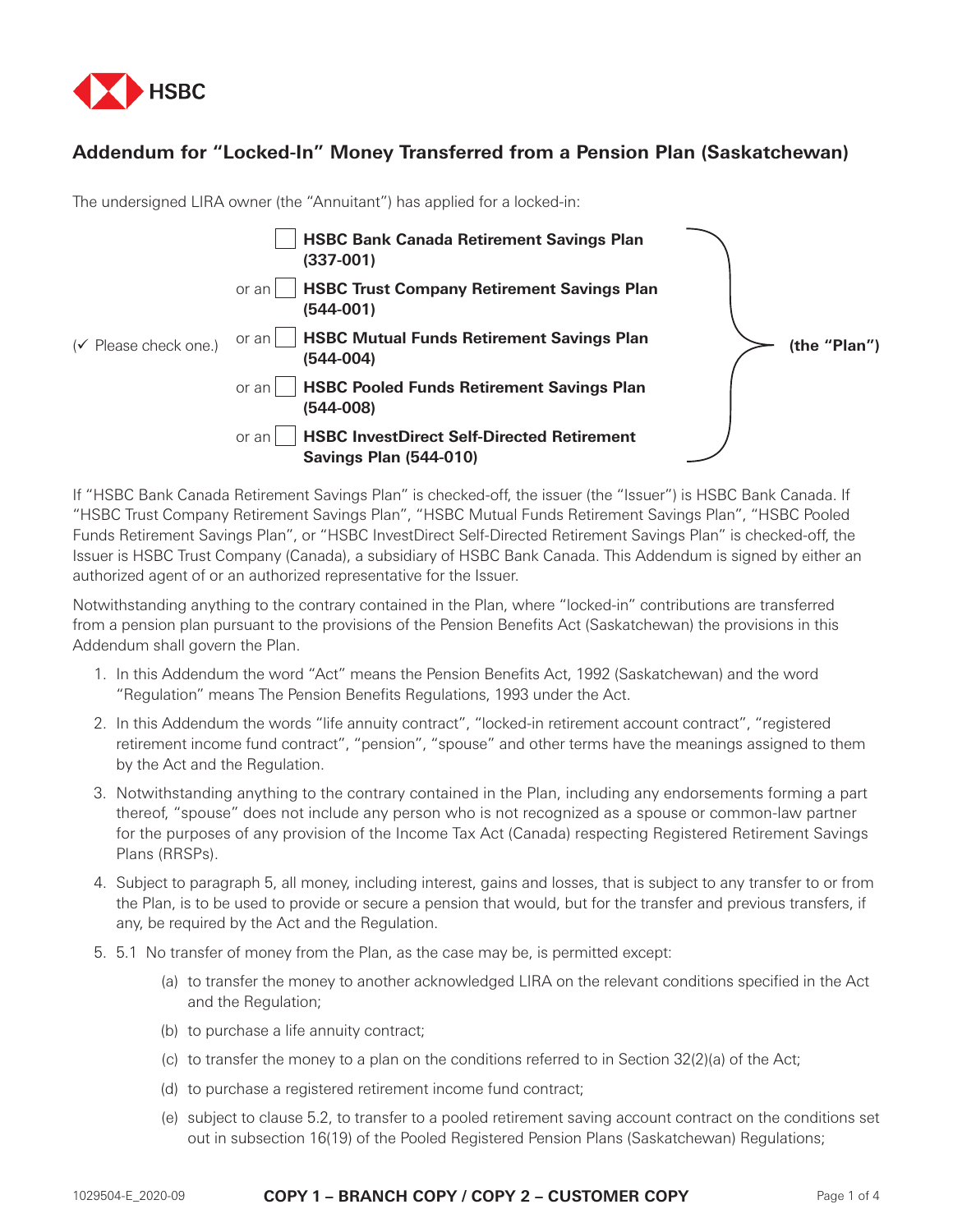

## **Addendum for "Locked-In" Money Transferred from a Pension Plan (Saskatchewan)**

The undersigned LIRA owner (the "Annuitant") has applied for a locked-in:

|                                   | <b>HSBC Bank Canada Retirement Savings Plan</b><br>$(337-001)$                              |              |
|-----------------------------------|---------------------------------------------------------------------------------------------|--------------|
|                                   | <b>HSBC Trust Company Retirement Savings Plan</b><br>or an<br>$(544-001)$                   |              |
| $(\checkmark)$ Please check one.) | <b>HSBC Mutual Funds Retirement Savings Plan</b><br>or an l<br>$(544-004)$                  | (the "Plan") |
|                                   | <b>HSBC Pooled Funds Retirement Savings Plan</b><br>or an<br>$(544-008)$                    |              |
|                                   | <b>HSBC InvestDirect Self-Directed Retirement</b><br>or an<br><b>Savings Plan (544-010)</b> |              |

If "HSBC Bank Canada Retirement Savings Plan" is checked-off, the issuer (the "Issuer") is HSBC Bank Canada. If "HSBC Trust Company Retirement Savings Plan", "HSBC Mutual Funds Retirement Savings Plan", "HSBC Pooled Funds Retirement Savings Plan", or "HSBC InvestDirect Self-Directed Retirement Savings Plan" is checked-off, the Issuer is HSBC Trust Company (Canada), a subsidiary of HSBC Bank Canada. This Addendum is signed by either an authorized agent of or an authorized representative for the Issuer.

Notwithstanding anything to the contrary contained in the Plan, where "locked-in" contributions are transferred from a pension plan pursuant to the provisions of the Pension Benefits Act (Saskatchewan) the provisions in this Addendum shall govern the Plan.

- 1. In this Addendum the word "Act" means the Pension Benefits Act, 1992 (Saskatchewan) and the word "Regulation" means The Pension Benefits Regulations, 1993 under the Act.
- 2. In this Addendum the words "life annuity contract", "locked-in retirement account contract", "registered retirement income fund contract", "pension", "spouse" and other terms have the meanings assigned to them by the Act and the Regulation.
- 3. Notwithstanding anything to the contrary contained in the Plan, including any endorsements forming a part thereof, "spouse" does not include any person who is not recognized as a spouse or common-law partner for the purposes of any provision of the Income Tax Act (Canada) respecting Registered Retirement Savings Plans (RRSPs).
- 4. Subject to paragraph 5, all money, including interest, gains and losses, that is subject to any transfer to or from the Plan, is to be used to provide or secure a pension that would, but for the transfer and previous transfers, if any, be required by the Act and the Regulation.
- 5. 5.1 No transfer of money from the Plan, as the case may be, is permitted except:
	- (a) to transfer the money to another acknowledged LIRA on the relevant conditions specified in the Act and the Regulation;
	- (b) to purchase a life annuity contract;
	- (c) to transfer the money to a plan on the conditions referred to in Section 32(2)(a) of the Act;
	- (d) to purchase a registered retirement income fund contract;
	- (e) subject to clause 5.2, to transfer to a pooled retirement saving account contract on the conditions set out in subsection 16(19) of the Pooled Registered Pension Plans (Saskatchewan) Regulations;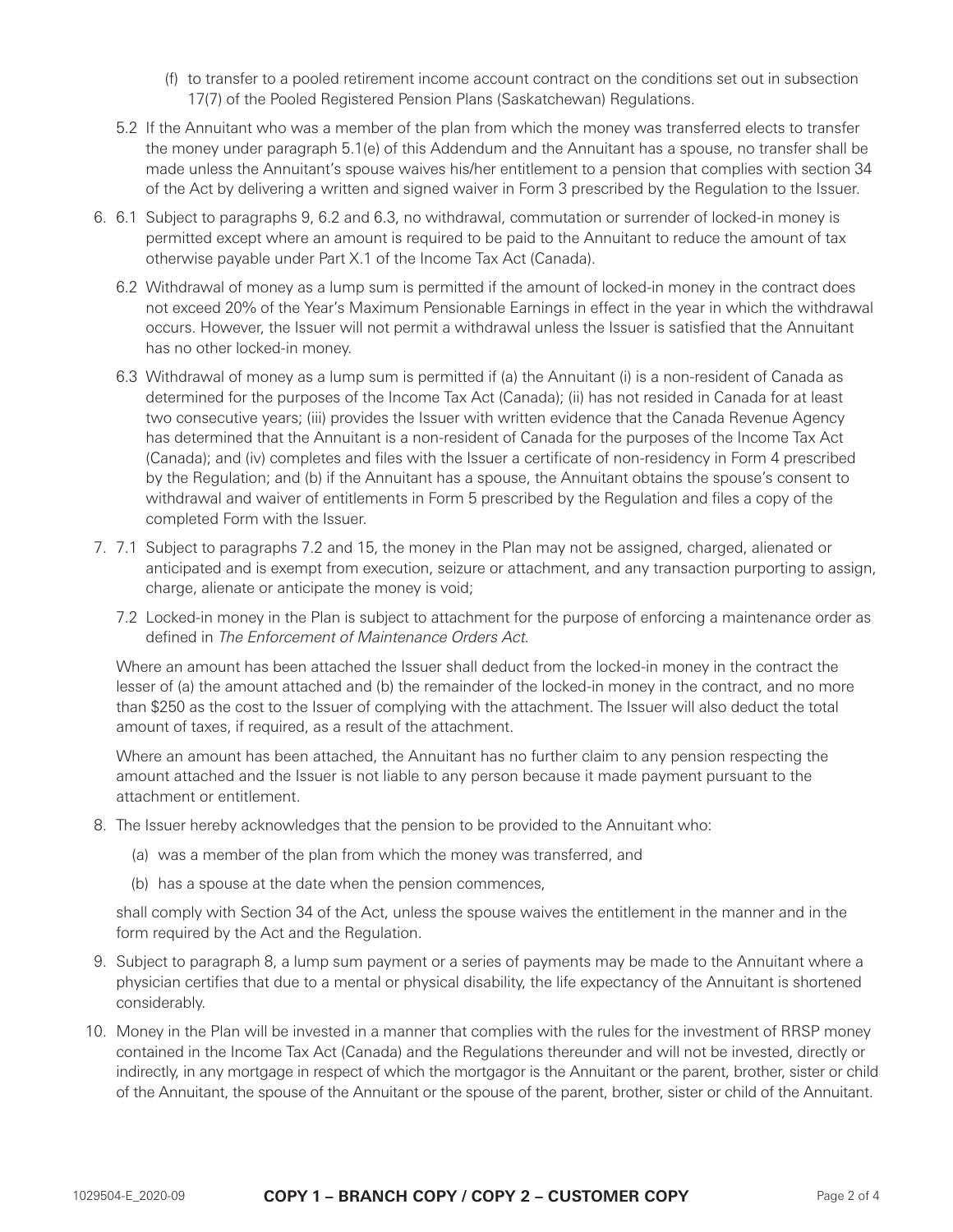- (f) to transfer to a pooled retirement income account contract on the conditions set out in subsection 17(7) of the Pooled Registered Pension Plans (Saskatchewan) Regulations.
- 5.2 If the Annuitant who was a member of the plan from which the money was transferred elects to transfer the money under paragraph 5.1(e) of this Addendum and the Annuitant has a spouse, no transfer shall be made unless the Annuitant's spouse waives his/her entitlement to a pension that complies with section 34 of the Act by delivering a written and signed waiver in Form 3 prescribed by the Regulation to the Issuer.
- 6. 6.1 Subject to paragraphs 9, 6.2 and 6.3, no withdrawal, commutation or surrender of locked-in money is permitted except where an amount is required to be paid to the Annuitant to reduce the amount of tax otherwise payable under Part X.1 of the Income Tax Act (Canada).
	- 6.2 Withdrawal of money as a lump sum is permitted if the amount of locked-in money in the contract does not exceed 20% of the Year's Maximum Pensionable Earnings in effect in the year in which the withdrawal occurs. However, the Issuer will not permit a withdrawal unless the Issuer is satisfied that the Annuitant has no other locked-in money.
	- 6.3 Withdrawal of money as a lump sum is permitted if (a) the Annuitant (i) is a non-resident of Canada as determined for the purposes of the Income Tax Act (Canada); (ii) has not resided in Canada for at least two consecutive years; (iii) provides the Issuer with written evidence that the Canada Revenue Agency has determined that the Annuitant is a non-resident of Canada for the purposes of the Income Tax Act (Canada); and (iv) completes and files with the Issuer a certificate of non-residency in Form 4 prescribed by the Regulation; and (b) if the Annuitant has a spouse, the Annuitant obtains the spouse's consent to withdrawal and waiver of entitlements in Form 5 prescribed by the Regulation and files a copy of the completed Form with the Issuer.
- 7. 7.1 Subject to paragraphs 7.2 and 15, the money in the Plan may not be assigned, charged, alienated or anticipated and is exempt from execution, seizure or attachment, and any transaction purporting to assign, charge, alienate or anticipate the money is void;
	- 7.2 Locked-in money in the Plan is subject to attachment for the purpose of enforcing a maintenance order as defined in The Enforcement of Maintenance Orders Act.

Where an amount has been attached the Issuer shall deduct from the locked-in money in the contract the lesser of (a) the amount attached and (b) the remainder of the locked-in money in the contract, and no more than \$250 as the cost to the Issuer of complying with the attachment. The Issuer will also deduct the total amount of taxes, if required, as a result of the attachment.

Where an amount has been attached, the Annuitant has no further claim to any pension respecting the amount attached and the Issuer is not liable to any person because it made payment pursuant to the attachment or entitlement.

- 8. The Issuer hereby acknowledges that the pension to be provided to the Annuitant who:
	- (a) was a member of the plan from which the money was transferred, and
	- (b) has a spouse at the date when the pension commences,

shall comply with Section 34 of the Act, unless the spouse waives the entitlement in the manner and in the form required by the Act and the Regulation.

- 9. Subject to paragraph 8, a lump sum payment or a series of payments may be made to the Annuitant where a physician certifies that due to a mental or physical disability, the life expectancy of the Annuitant is shortened considerably.
- 10. Money in the Plan will be invested in a manner that complies with the rules for the investment of RRSP money contained in the Income Tax Act (Canada) and the Regulations thereunder and will not be invested, directly or indirectly, in any mortgage in respect of which the mortgagor is the Annuitant or the parent, brother, sister or child of the Annuitant, the spouse of the Annuitant or the spouse of the parent, brother, sister or child of the Annuitant.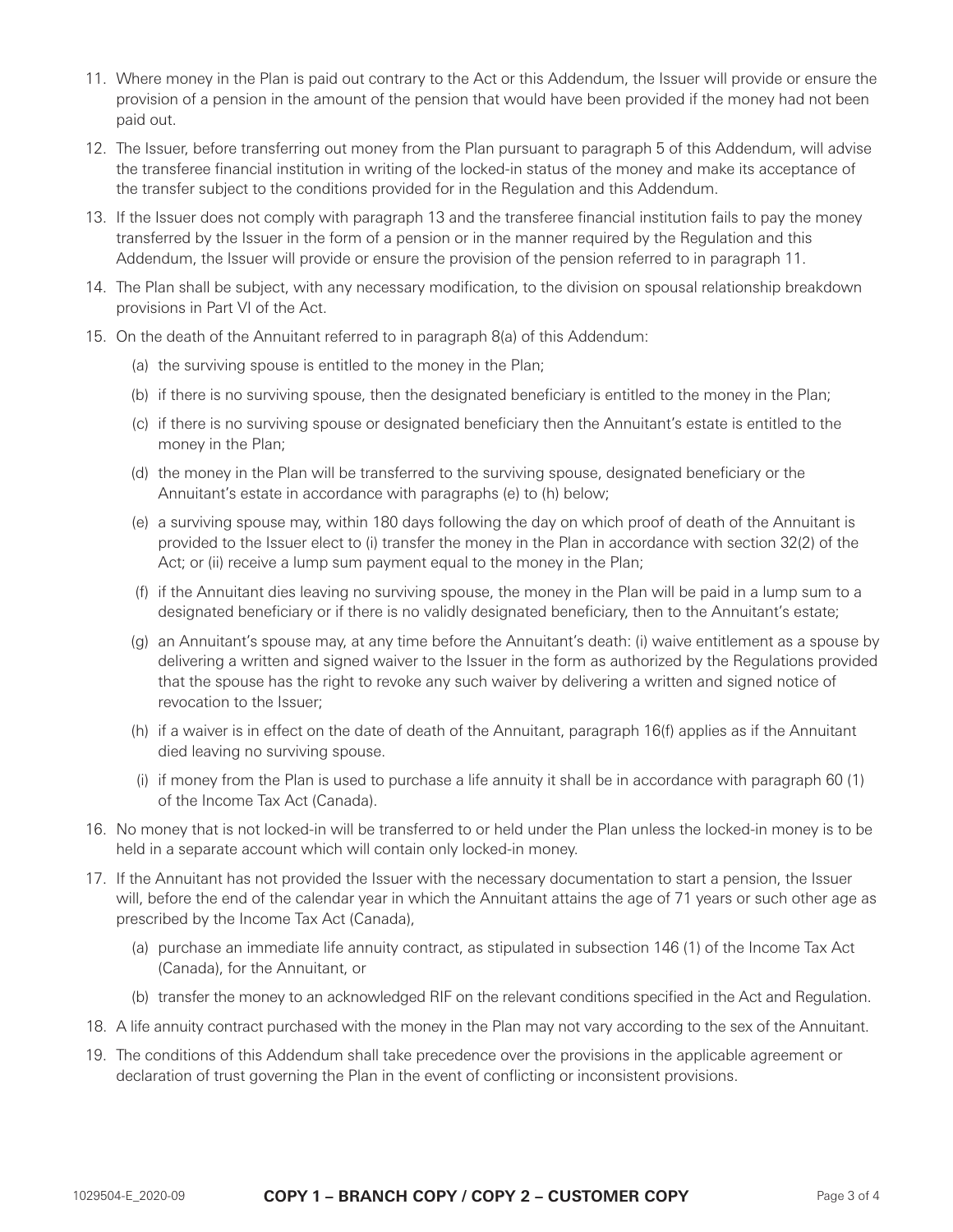- 11. Where money in the Plan is paid out contrary to the Act or this Addendum, the Issuer will provide or ensure the provision of a pension in the amount of the pension that would have been provided if the money had not been paid out.
- 12. The Issuer, before transferring out money from the Plan pursuant to paragraph 5 of this Addendum, will advise the transferee financial institution in writing of the locked-in status of the money and make its acceptance of the transfer subject to the conditions provided for in the Regulation and this Addendum.
- 13. If the Issuer does not comply with paragraph 13 and the transferee financial institution fails to pay the money transferred by the Issuer in the form of a pension or in the manner required by the Regulation and this Addendum, the Issuer will provide or ensure the provision of the pension referred to in paragraph 11.
- 14. The Plan shall be subject, with any necessary modification, to the division on spousal relationship breakdown provisions in Part VI of the Act.
- 15. On the death of the Annuitant referred to in paragraph 8(a) of this Addendum:
	- (a) the surviving spouse is entitled to the money in the Plan;
	- (b) if there is no surviving spouse, then the designated beneficiary is entitled to the money in the Plan;
	- (c) if there is no surviving spouse or designated beneficiary then the Annuitant's estate is entitled to the money in the Plan;
	- (d) the money in the Plan will be transferred to the surviving spouse, designated beneficiary or the Annuitant's estate in accordance with paragraphs (e) to (h) below;
	- (e) a surviving spouse may, within 180 days following the day on which proof of death of the Annuitant is provided to the Issuer elect to (i) transfer the money in the Plan in accordance with section 32(2) of the Act; or (ii) receive a lump sum payment equal to the money in the Plan;
	- (f) if the Annuitant dies leaving no surviving spouse, the money in the Plan will be paid in a lump sum to a designated beneficiary or if there is no validly designated beneficiary, then to the Annuitant's estate;
	- (g) an Annuitant's spouse may, at any time before the Annuitant's death: (i) waive entitlement as a spouse by delivering a written and signed waiver to the Issuer in the form as authorized by the Regulations provided that the spouse has the right to revoke any such waiver by delivering a written and signed notice of revocation to the Issuer;
	- (h) if a waiver is in effect on the date of death of the Annuitant, paragraph 16(f) applies as if the Annuitant died leaving no surviving spouse.
	- (i) if money from the Plan is used to purchase a life annuity it shall be in accordance with paragraph 60 (1) of the Income Tax Act (Canada).
- 16. No money that is not locked-in will be transferred to or held under the Plan unless the locked-in money is to be held in a separate account which will contain only locked-in money.
- 17. If the Annuitant has not provided the Issuer with the necessary documentation to start a pension, the Issuer will, before the end of the calendar year in which the Annuitant attains the age of 71 years or such other age as prescribed by the Income Tax Act (Canada),
	- (a) purchase an immediate life annuity contract, as stipulated in subsection 146 (1) of the Income Tax Act (Canada), for the Annuitant, or
	- (b) transfer the money to an acknowledged RIF on the relevant conditions specified in the Act and Regulation.
- 18. A life annuity contract purchased with the money in the Plan may not vary according to the sex of the Annuitant.
- 19. The conditions of this Addendum shall take precedence over the provisions in the applicable agreement or declaration of trust governing the Plan in the event of conflicting or inconsistent provisions.